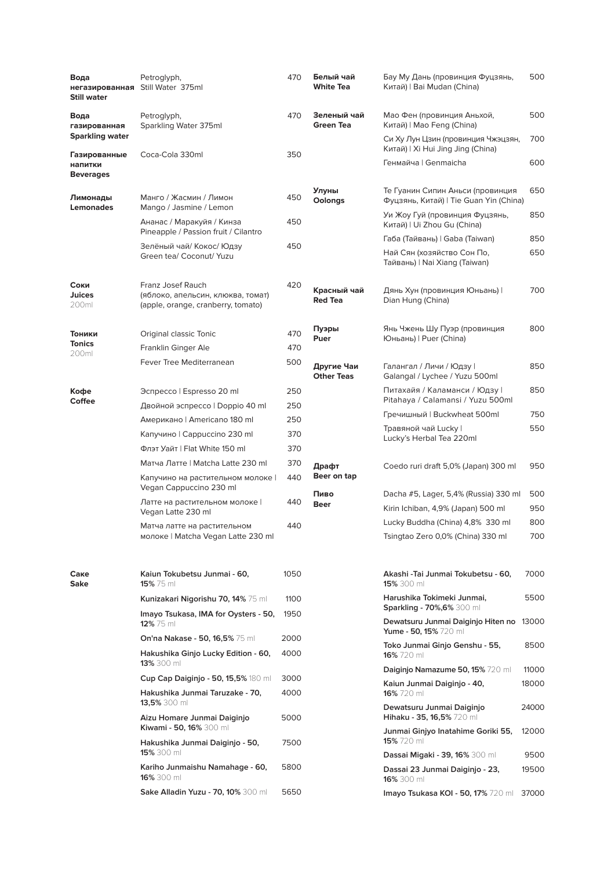| Вода<br>негазированная<br><b>Still water</b> | Petroglyph,<br>Still Water 375ml                                                             | 470        | Белый чай<br><b>White Tea</b>   | Бау Му Дань (провинция Фуцзянь,<br>Китай)   Bai Mudan (China)              | 500        |
|----------------------------------------------|----------------------------------------------------------------------------------------------|------------|---------------------------------|----------------------------------------------------------------------------|------------|
| Вода<br>газированная                         | Petroglyph,<br>Sparkling Water 375ml                                                         | 470        | Зеленый чай<br><b>Green Tea</b> | Мао Фен (провинция Аньхой,<br>Китай)   Mao Feng (China)                    | 500        |
| <b>Sparkling water</b>                       |                                                                                              |            |                                 | Си Ху Лун Цзин (провинция Чжэцзян,<br>Китай)   Xi Hui Jing Jing (China)    | 700        |
| Газированные<br>напитки<br><b>Beverages</b>  | Coca-Cola 330ml                                                                              | 350        |                                 | Генмайча   Genmaicha                                                       | 600        |
| Лимонады<br><b>Lemonades</b>                 | Манго / Жасмин / Лимон<br>Mango / Jasmine / Lemon                                            | 450        | Улуны<br>Oolongs                | Те Гуанин Сипин Аньси (провинция<br>Фуцзянь, Китай)   Tie Guan Yin (China) | 650        |
|                                              | Ананас / Маракуйя / Кинза<br>Pineapple / Passion fruit / Cilantro                            | 450        |                                 | Уи Жоу Гуй (провинция Фуцзянь,<br>Китай)   Ui Zhou Gu (China)              | 850        |
|                                              | Зелёный чай/ Кокос/ Юдзу                                                                     | 450        |                                 | Габа (Тайвань)   Gaba (Taiwan)                                             | 850        |
|                                              | Green tea/ Coconut/ Yuzu                                                                     |            |                                 | Най Сян (хозяйство Сон По,<br>Тайвань)   Nai Xiang (Taiwan)                | 650        |
| Соки<br>Juices<br>200ml                      | Franz Josef Rauch<br>(яблоко, апельсин, клюква, томат)<br>(apple, orange, cranberry, tomato) | 420        | Красный чай<br><b>Red Tea</b>   | Дянь Хун (провинция Юньань) I<br>Dian Hung (China)                         | 700        |
| Тоники<br><b>Tonics</b>                      | Original classic Tonic<br>Franklin Ginger Ale                                                | 470<br>470 | Пуэры<br>Puer                   | Янь Чжень Шу Пуэр (провинция<br>Юньань)   Puer (China)                     | 800        |
| 200ml                                        | Fever Tree Mediterranean                                                                     | 500        | Другие Чаи<br><b>Other Teas</b> | Галангал / Личи / Юдзу I<br>Galangal / Lychee / Yuzu 500ml                 | 850        |
| Кофе<br><b>Coffee</b>                        | Эспрессо   Espresso 20 ml                                                                    | 250        |                                 | Питахайя / Каламанси / Юдзу  <br>Pitahaya / Calamansi / Yuzu 500ml         | 850        |
|                                              | Двойной эспрессо   Doppio 40 ml                                                              | 250        |                                 | Гречишный   Buckwheat 500ml                                                | 750        |
|                                              | Американо   Americano 180 ml                                                                 | 250        |                                 | Травяной чай Lucky                                                         | 550        |
|                                              | Капучино   Cappuccino 230 ml                                                                 | 370        |                                 | Lucky's Herbal Tea 220ml                                                   |            |
|                                              | Флэт Уайт   Flat White 150 ml                                                                | 370        |                                 |                                                                            |            |
|                                              | Матча Латте   Matcha Latte 230 ml<br>Капучино на растительном молоке                         | 370<br>440 | Драфт<br>Beer on tap            | Coedo ruri draft 5,0% (Japan) 300 ml                                       | 950        |
|                                              | Vegan Cappuccino 230 ml                                                                      |            | Пиво                            | Dacha #5, Lager, 5,4% (Russia) 330 ml                                      | 500        |
|                                              | Латте на растительном молоке  <br>Vegan Latte 230 ml                                         | 440        | <b>Beer</b>                     | Kirin Ichiban, 4,9% (Japan) 500 ml                                         | 950        |
|                                              | Матча латте на растительном<br>молоке   Matcha Vegan Latte 230 ml                            | 440        |                                 | Lucky Buddha (China) 4,8% 330 ml<br>Tsingtao Zero 0,0% (China) 330 ml      | 800<br>700 |
| Саке<br>Sake                                 | Kaiun Tokubetsu Junmai - 60,<br>15% 75 ml                                                    | 1050       |                                 | Akashi - Tai Junmai Tokubetsu - 60,<br>15% 300 ml                          | 7000       |
|                                              | Kunizakari Nigorishu 70, 14% 75 ml                                                           | 1100       |                                 | Harushika Tokimeki Junmai,                                                 | 5500       |
|                                              | Imayo Tsukasa, IMA for Oysters - 50,<br>12% 75 ml                                            | 1950       |                                 | Sparkling - 70%,6% 300 ml<br>Dewatsuru Junmai Daiginjo Hiten no            | 13000      |
|                                              | On'na Nakase - 50, 16,5% 75 ml                                                               | 2000       |                                 | Yume - 50, 15% 720 ml<br>Toko Junmai Ginjo Genshu - 55,                    | 8500       |
|                                              | Hakushika Ginjo Lucky Edition - 60,<br>13% 300 ml                                            | 4000       |                                 | 16% 720 ml<br>Daiginjo Namazume 50, 15% 720 ml                             | 11000      |
|                                              | Cup Cap Daiginjo - 50, 15,5% 180 ml                                                          | 3000       |                                 | Kaiun Junmai Daiginjo - 40,                                                | 18000      |
|                                              | Hakushika Junmai Taruzake - 70,<br>13,5% 300 ml                                              | 4000       |                                 | 16% 720 ml                                                                 |            |
|                                              | Aizu Homare Junmai Daiginjo<br>Kiwami - 50, 16% 300 ml                                       | 5000       |                                 | Dewatsuru Junmai Daiginjo<br>Hihaku - 35, 16,5% 720 ml                     | 24000      |
|                                              | Hakushika Junmai Daiginjo - 50,<br>15% 300 ml                                                | 7500       |                                 | Junmai Ginjyo Inatahime Goriki 55,<br>15% 720 ml                           | 12000      |
|                                              |                                                                                              |            |                                 | <b>Dassai Migaki - 39, 16%</b> 300 ml                                      | 9500       |
|                                              | Kariho Junmaishu Namahage - 60,<br>16% 300 ml                                                | 5800       |                                 | Dassai 23 Junmai Daiginjo - 23,<br>16% 300 ml                              | 19500      |
|                                              | Sake Alladin Yuzu - 70, 10% 300 ml                                                           | 5650       |                                 | Imayo Tsukasa KOI - 50, 17% 720 ml                                         | 37000      |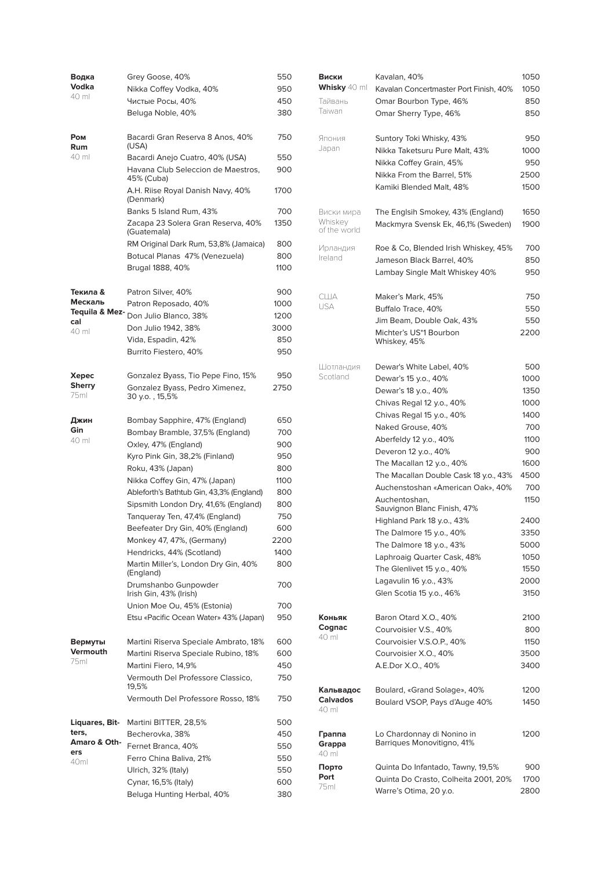| Водка                 | Grey Goose, 40%                                    | 550        |
|-----------------------|----------------------------------------------------|------------|
| Vodka                 | Nikka Coffey Vodka, 40%                            | 950        |
| 40 ml                 | Чистые Росы, 40%                                   | 450        |
|                       | Beluga Noble, 40%                                  | 380        |
| Ром<br>Rum            | Bacardi Gran Reserva 8 Anos, 40%<br>(USA)          | 750        |
| 40 ml                 | Bacardi Anejo Cuatro, 40% (USA)                    | 550        |
|                       | Havana Club Seleccion de Maestros,<br>45% (Cuba)   | 900        |
|                       | A.H. Riise Royal Danish Navy, 40%<br>(Denmark)     | 1700       |
|                       | Banks 5 Island Rum, 43%                            | 700        |
|                       | Zacapa 23 Solera Gran Reserva, 40%<br>(Guatemala)  | 1350       |
|                       | RM Original Dark Rum, 53,8% (Jamaica)              | 800        |
|                       | Botucal Planas 47% (Venezuela)                     | 800        |
|                       | Brugal 1888, 40%                                   | 1100       |
| Текила &              | Patron Silver, 40%                                 | 900        |
| Мескаль               | Patron Reposado, 40%                               | 1000       |
| Tequila & Mez-        | Don Julio Blanco, 38%                              | 1200       |
| cal<br>40 ml          | Don Julio 1942, 38%                                | 3000       |
|                       | Vida, Espadin, 42%                                 | 850        |
|                       | Burrito Fiestero, 40%                              | 950        |
|                       |                                                    |            |
| Xepec                 | Gonzalez Byass, Tio Pepe Fino, 15%                 | 950        |
| <b>Sherry</b><br>75ml | Gonzalez Byass, Pedro Ximenez,<br>30 y.o., 15,5%   | 2750       |
| Джин                  | Bombay Sapphire, 47% (England)                     | 650        |
| Gin                   | Bombay Bramble, 37,5% (England)                    | 700        |
| 40 ml                 | Oxley, 47% (England)                               | 900        |
|                       | Kyro Pink Gin, 38,2% (Finland)                     | 950        |
|                       | Roku, 43% (Japan)                                  | 800        |
|                       | Nikka Coffey Gin, 47% (Japan)                      | 1100       |
|                       | Ableforth's Bathtub Gin, 43,3% (England)           | 800        |
|                       |                                                    |            |
|                       | Sipsmith London Dry, 41,6% (England)               | 800        |
|                       | Tanqueray Ten, 47,4% (England)                     | 750        |
|                       | Beefeater Dry Gin, 40% (England)                   | 600        |
|                       | Monkey 47, 47%, (Germany)                          | 2200       |
|                       | Hendricks, 44% (Scotland)                          | 1400       |
|                       | Martin Miller's, London Dry Gin, 40%<br>(England)  | 800        |
|                       | Drumshanbo Gunpowder<br>Irish Gin, 43% (Irish)     | 700        |
|                       | Union Moe Ou, 45% (Estonia)                        | 700        |
|                       | Etsu «Pacific Ocean Water» 43% (Japan)             | 950        |
|                       |                                                    |            |
| Вермуты               | Martini Riserva Speciale Ambrato, 18%              | 600        |
| Vermouth              | Martini Riserva Speciale Rubino, 18%               | 600        |
| 75ml                  | Martini Fiero, 14,9%                               | 450        |
|                       | Vermouth Del Professore Classico,                  | 750        |
|                       | 19,5%<br>Vermouth Del Professore Rosso, 18%        | 750        |
|                       |                                                    |            |
| Liquares, Bit-        | Martini BITTER, 28,5%                              | 500        |
| ters,<br>Amaro & Oth- | Becherovka, 38%                                    | 450        |
| ers                   | Fernet Branca, 40%                                 | 550        |
| 40 <sub>ml</sub>      | Ferro China Baliva, 21%                            | 550        |
|                       | Ulrich, 32% (Italy)                                | 550        |
|                       | Cynar, 16,5% (Italy)<br>Beluga Hunting Herbal, 40% | 600<br>380 |

| Виски<br><b>Whisky</b> 40 ml | Kavalan, 40%<br>Kavalan Concertmaster Port Finish, 40%            | 1050<br>1050 |
|------------------------------|-------------------------------------------------------------------|--------------|
| Тайвань                      | Omar Bourbon Type, 46%                                            | 850          |
| Taiwan                       | Omar Sherry Type, 46%                                             | 850          |
| Япония                       | Suntory Toki Whisky, 43%                                          | 950          |
| Japan                        | Nikka Taketsuru Pure Malt, 43%                                    | 1000         |
|                              | Nikka Coffey Grain, 45%                                           | 950          |
|                              | Nikka From the Barrel, 51%                                        | 2500         |
|                              | Kamiki Blended Malt, 48%                                          | 1500         |
| Виски мира<br>Whiskey        | The Englsih Smokey, 43% (England)                                 | 1650         |
| of the world                 | Mackmyra Svensk Ek, 46,1% (Sweden)                                | 1900         |
| Ирландия<br>Ireland          | Roe & Co, Blended Irish Whiskey, 45%<br>Jameson Black Barrel, 40% | 700<br>850   |
|                              | Lambay Single Malt Whiskey 40%                                    | 950          |
| США                          | Maker's Mark, 45%                                                 | 750          |
| USA                          | Buffalo Trace, 40%                                                | 550          |
|                              | Jim Beam, Double Oak, 43%                                         | 550          |
|                              | Michter's US*1 Bourbon<br>Whiskey, 45%                            | 2200         |
| Шотландия                    | Dewar's White Label, 40%                                          | 500          |
| Scotland                     | Dewar's 15 y.o., 40%                                              | 1000         |
|                              | Dewar's 18 y.o., 40%                                              | 1350         |
|                              | Chivas Regal 12 y.o., 40%                                         | 1000         |
|                              | Chivas Regal 15 y.o., 40%                                         | 1400         |
|                              | Naked Grouse, 40%                                                 | 700          |
|                              | Aberfeldy 12 y.o., 40%                                            | 1100         |
|                              | Deveron 12 y.o., 40%                                              | 900          |
|                              | The Macallan 12 y.o., 40%                                         | 1600         |
|                              | The Macallan Double Cask 18 y.o., 43%                             | 4500         |
|                              | Auchenstoshan «American Oak», 40%                                 | 700          |
|                              | Auchentoshan.                                                     | 1150         |
|                              | Sauvignon Blanc Finish, 47%                                       |              |
|                              | Highland Park 18 y.o., 43%                                        | 2400         |
|                              | The Dalmore 15 v.o., 40%                                          | 3350         |
|                              | The Dalmore 18 y.o., 43%                                          | 5000         |
|                              | Laphroaig Quarter Cask, 48%                                       | 1050         |
|                              | The Glenlivet 15 y.o., 40%                                        | 1550         |
|                              | Lagavulin 16 y.o., 43%                                            | 2000         |
|                              | Glen Scotia 15 y.o., 46%                                          | 3150         |
| Коньяк                       | Baron Otard X.O., 40%                                             | 2100         |
| Cognac<br>40 ml              | Courvoisier V.S., 40%                                             | 800          |
|                              | Courvoisier V.S.O.P., 40%                                         | 1150         |
|                              | Courvoisier X.O., 40%<br>A.E.Dor X.O., 40%                        | 3500<br>3400 |
| Кальвадос                    | Boulard, «Grand Solage», 40%                                      | 1200         |
| Calvados<br>40 ml            | Boulard VSOP, Pays d'Auge 40%                                     | 1450         |
| Граппа<br>Grappa<br>40 ml    | Lo Chardonnay di Nonino in<br>Barriques Monovitigno, 41%          | 1200         |
| Порто                        | Quinta Do Infantado, Tawny, 19,5%                                 | 900          |
| Port                         | Quinta Do Crasto, Colheita 2001, 20%                              | 1700         |
| 75ml                         | Warre's Otima, 20 y.o.                                            | 2800         |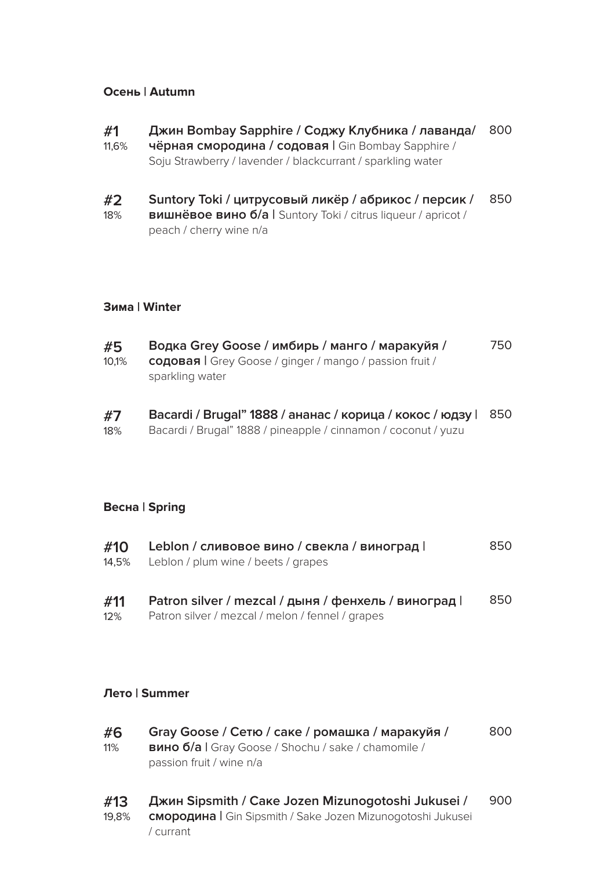## **Осень | Autumn**

| #1    | Джин Bombay Sapphire / Соджу Клубника / лаванда/            | 800 |
|-------|-------------------------------------------------------------|-----|
| 11,6% | чёрная смородина / содовая   Gin Bombay Sapphire /          |     |
|       | Soju Strawberry / lavender / blackcurrant / sparkling water |     |
|       |                                                             |     |

**#2** 18% **Suntory Toki / цитрусовый ликёр / абрикос / персик / вишнёвое вино б/а |** Suntory Toki / citrus liqueur / apricot / peach / cherry wine n/a 850

### **Зима | Winter**

| #5    | Водка Grey Goose / имбирь / манго / маракуйя /                 | 750 |
|-------|----------------------------------------------------------------|-----|
| 10,1% | <b>содовая</b>   Grey Goose / ginger / mango / passion fruit / |     |
|       | sparkling water                                                |     |

**#7** 18% **Bacardi / Brugal" 1888 / ананас / корица / кокос / юдзу |** 850 Bacardi / Brugal" 1888 / pineapple / cinnamon / coconut / yuzu

### **Весна | Spring**

| #10        | Leblon / сливовое вино / свекла / виноград  <br>14,5% Leblon / plum wine / beets / grapes                | 850 |
|------------|----------------------------------------------------------------------------------------------------------|-----|
| #11<br>12% | Patron silver / mezcal / дыня / фенхель / виноград  <br>Patron silver / mezcal / melon / fennel / grapes | 850 |

**Лето | Summer**

| #6<br>11% | Gray Goose / Сетю / саке / ромашка / маракуйя /<br><b>вино б/a  </b> Gray Goose / Shochu / sake / chamomile /<br>passion fruit / wine n/a | 800 |
|-----------|-------------------------------------------------------------------------------------------------------------------------------------------|-----|
| #13       | Джин Sipsmith / Саке Jozen Mizunogotoshi Jukusei /                                                                                        | 900 |

19,8% **смородина |** Gin Sipsmith / Sake Jozen Mizunogotoshi Jukusei / currant